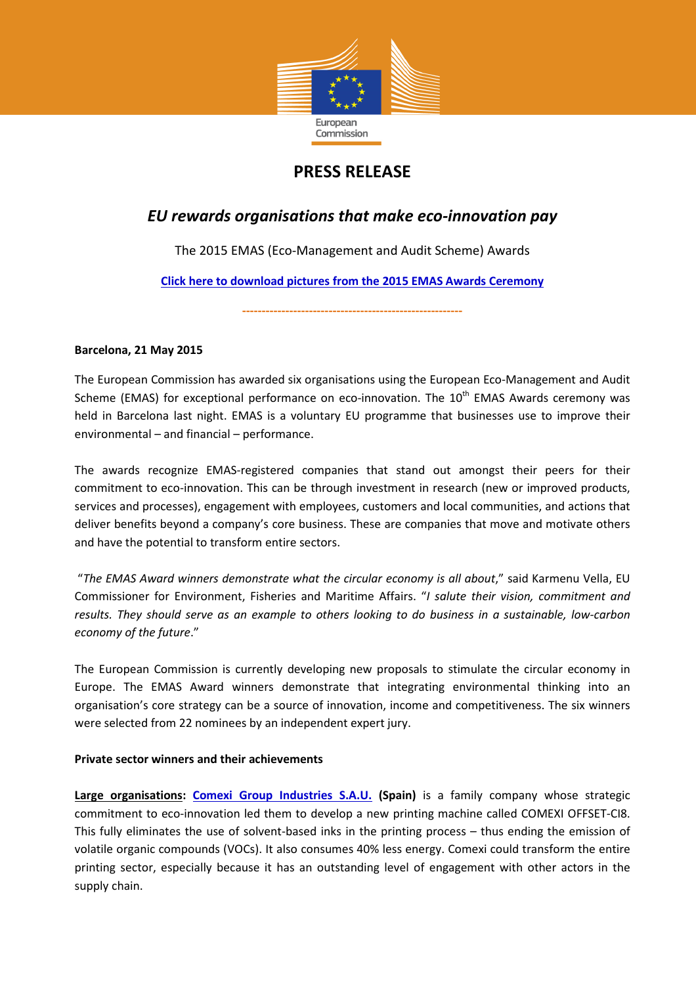

# **PRESS RELEASE**

## *EU rewards organisations that make eco-innovation pay*

The 2015 EMAS (Eco-Management and Audit Scheme) Awards

**Click here to download pictures from the 2015 EMAS Awards Ceremony**

**--------------------------------------------------------** 

## **Barcelona, 21 May 2015**

The European Commission has awarded six organisations using the European Eco-Management and Audit Scheme (EMAS) for exceptional performance on eco-innovation. The 10<sup>th</sup> EMAS Awards ceremony was held in Barcelona last night. EMAS is a voluntary EU programme that businesses use to improve their environmental – and financial – performance.

The awards recognize EMAS-registered companies that stand out amongst their peers for their commitment to eco-innovation. This can be through investment in research (new or improved products, services and processes), engagement with employees, customers and local communities, and actions that deliver benefits beyond a company's core business. These are companies that move and motivate others and have the potential to transform entire sectors.

 "*The EMAS Award winners demonstrate what the circular economy is all about*," said Karmenu Vella, EU Commissioner for Environment, Fisheries and Maritime Affairs. "*I salute their vision, commitment and results. They should serve as an example to others looking to do business in a sustainable, low-carbon economy of the future*."

The European Commission is currently developing new proposals to stimulate the circular economy in Europe. The EMAS Award winners demonstrate that integrating environmental thinking into an organisation's core strategy can be a source of innovation, income and competitiveness. The six winners were selected from 22 nominees by an independent expert jury.

## **Private sector winners and their achievements**

Large organisations: Comexi Group Industries S.A.U. (Spain) is a family company whose strategic commitment to eco-innovation led them to develop a new printing machine called COMEXI OFFSET-CI8. This fully eliminates the use of solvent-based inks in the printing process – thus ending the emission of volatile organic compounds (VOCs). It also consumes 40% less energy. Comexi could transform the entire printing sector, especially because it has an outstanding level of engagement with other actors in the supply chain.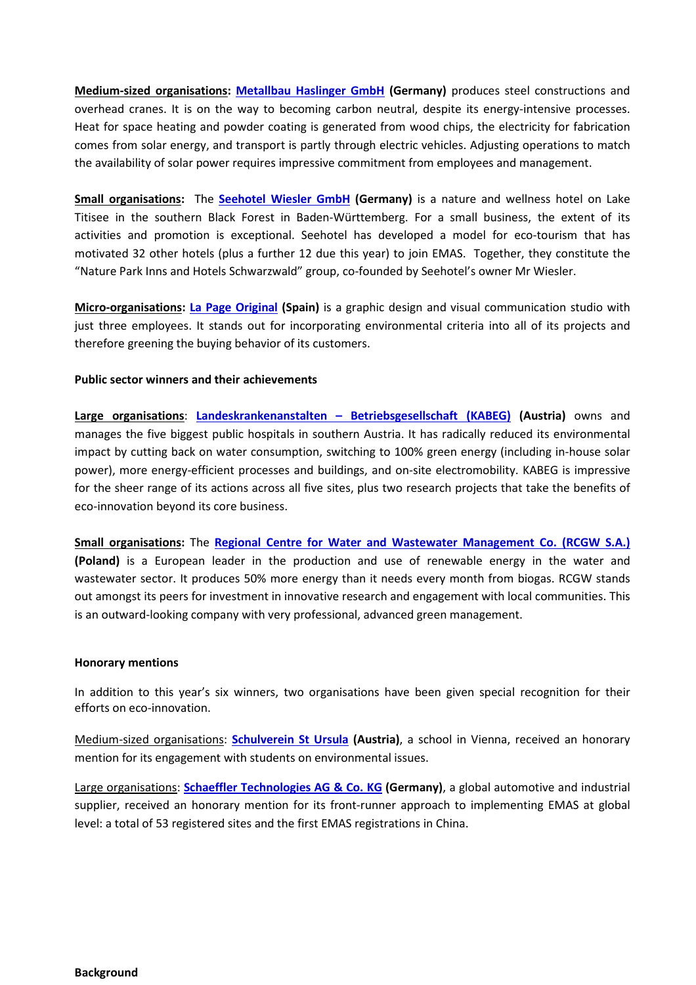**Medium-sized organisations: Metallbau Haslinger GmbH (Germany)** produces steel constructions and overhead cranes. It is on the way to becoming carbon neutral, despite its energy-intensive processes. Heat for space heating and powder coating is generated from wood chips, the electricity for fabrication comes from solar energy, and transport is partly through electric vehicles. Adjusting operations to match the availability of solar power requires impressive commitment from employees and management.

**Small organisations:** The **Seehotel Wiesler GmbH (Germany)** is a nature and wellness hotel on Lake Titisee in the southern Black Forest in Baden-Württemberg. For a small business, the extent of its activities and promotion is exceptional. Seehotel has developed a model for eco-tourism that has motivated 32 other hotels (plus a further 12 due this year) to join EMAS. Together, they constitute the "Nature Park Inns and Hotels Schwarzwald" group, co-founded by Seehotel's owner Mr Wiesler.

**Micro-organisations: La Page Original (Spain)** is a graphic design and visual communication studio with just three employees. It stands out for incorporating environmental criteria into all of its projects and therefore greening the buying behavior of its customers.

## **Public sector winners and their achievements**

**Large organisations**: **Landeskrankenanstalten – Betriebsgesellschaft (KABEG) (Austria)** owns and manages the five biggest public hospitals in southern Austria. It has radically reduced its environmental impact by cutting back on water consumption, switching to 100% green energy (including in-house solar power), more energy-efficient processes and buildings, and on-site electromobility. KABEG is impressive for the sheer range of its actions across all five sites, plus two research projects that take the benefits of eco-innovation beyond its core business.

**Small organisations:** The **Regional Centre for Water and Wastewater Management Co. (RCGW S.A.) (Poland)** is a European leader in the production and use of renewable energy in the water and wastewater sector. It produces 50% more energy than it needs every month from biogas. RCGW stands out amongst its peers for investment in innovative research and engagement with local communities. This is an outward-looking company with very professional, advanced green management.

### **Honorary mentions**

In addition to this year's six winners, two organisations have been given special recognition for their efforts on eco-innovation.

Medium-sized organisations: **Schulverein St Ursula (Austria)**, a school in Vienna, received an honorary mention for its engagement with students on environmental issues.

Large organisations: **Schaeffler Technologies AG & Co. KG (Germany)**, a global automotive and industrial supplier, received an honorary mention for its front-runner approach to implementing EMAS at global level: a total of 53 registered sites and the first EMAS registrations in China.